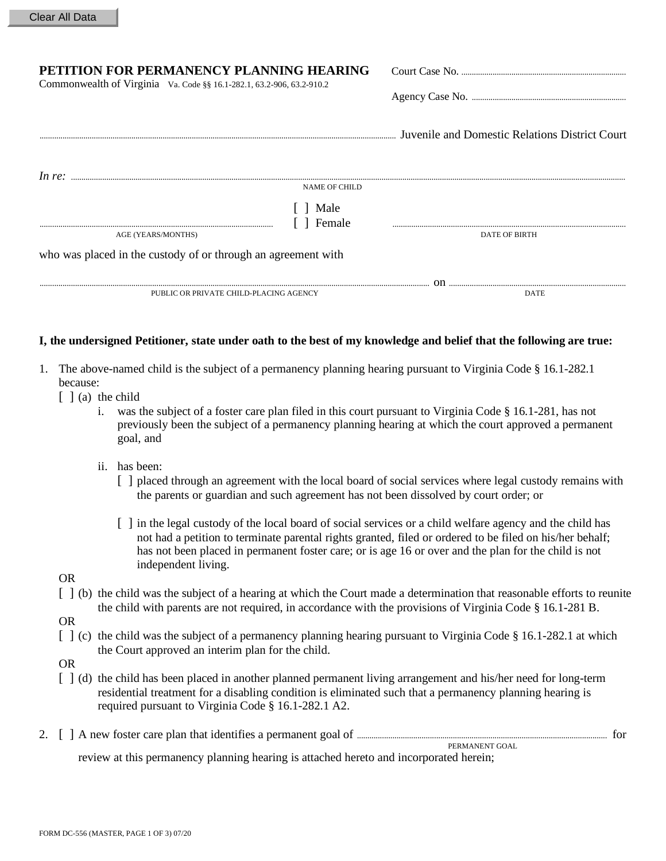## **PETITION FOR PERMANENCY PLANNING HEARING COURT COURT COURT CONTROL**

Commonwealth of Virginia Va. Code §§ 16.1-282.1, 63.2-906, 63.2-910.2

|                                                               |                  | Juvenile and Domestic Relations District Court |
|---------------------------------------------------------------|------------------|------------------------------------------------|
| In re:                                                        | NAME OF CHILD    |                                                |
| AGE (YEARS/MONTHS)                                            | Male<br>1 Female | <b>DATE OF BIRTH</b>                           |
| who was placed in the custody of or through an agreement with |                  |                                                |
| PUBLIC OR PRIVATE CHILD-PLACING AGENCY                        |                  | Ωn<br><b>DATE</b>                              |

## **I, the undersigned Petitioner, state under oath to the best of my knowledge and belief that the following are true:**

- 1. The above-named child is the subject of a permanency planning hearing pursuant to Virginia Code § 16.1-282.1 because:
	- $\lceil \ \rceil$  (a) the child
		- i. was the subject of a foster care plan filed in this court pursuant to Virginia Code § 16.1-281, has not previously been the subject of a permanency planning hearing at which the court approved a permanent goal, and
		- ii. has been:
			- [ ] placed through an agreement with the local board of social services where legal custody remains with the parents or guardian and such agreement has not been dissolved by court order; or
			- [ ] in the legal custody of the local board of social services or a child welfare agency and the child has not had a petition to terminate parental rights granted, filed or ordered to be filed on his/her behalf; has not been placed in permanent foster care; or is age 16 or over and the plan for the child is not independent living.
	- OR
	- [ ] (b) the child was the subject of a hearing at which the Court made a determination that reasonable efforts to reunite the child with parents are not required, in accordance with the provisions of Virginia Code § 16.1-281 B.
	- OR
	- [ ] (c) the child was the subject of a permanency planning hearing pursuant to Virginia Code § 16.1-282.1 at which the Court approved an interim plan for the child.
	- OR
	- [ ] (d) the child has been placed in another planned permanent living arrangement and his/her need for long-term residential treatment for a disabling condition is eliminated such that a permanency planning hearing is required pursuant to Virginia Code § 16.1-282.1 A2.
- 2. [ ] A new foster care plan that identifies a permanent goal of ........................................................................................................................ for PERMANENT GOAL review at this permanency planning hearing is attached hereto and incorporated herein;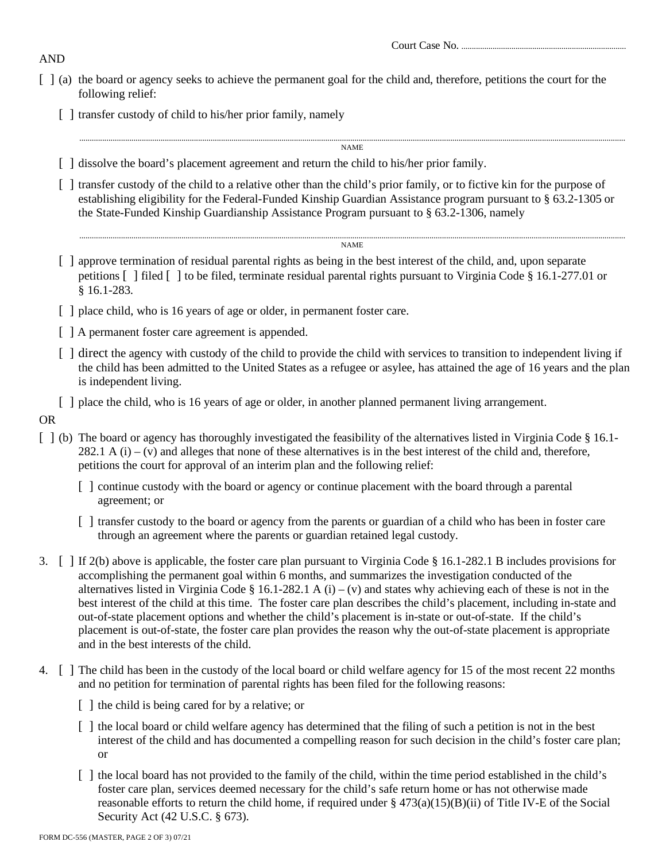Court Case No. ...............................................................................

- [ ] (a) the board or agency seeks to achieve the permanent goal for the child and, therefore, petitions the court for the following relief:
	- [ ] transfer custody of child to his/her prior family, namely

......................................................................................................................................................................................................................................................................

NAME

- [ ] dissolve the board's placement agreement and return the child to his/her prior family.
- [ ] transfer custody of the child to a relative other than the child's prior family, or to fictive kin for the purpose of establishing eligibility for the Federal-Funded Kinship Guardian Assistance program pursuant to § 63.2-1305 or the State-Funded Kinship Guardianship Assistance Program pursuant to § 63.2-1306, namely

#### ...................................................................................................................................................................................................................................................................... NAME

- [ ] approve termination of residual parental rights as being in the best interest of the child, and, upon separate petitions [ ] filed [ ] to be filed, terminate residual parental rights pursuant to Virginia Code § 16.1-277.01 or § 16.1-283.
- [ ] place child, who is 16 years of age or older, in permanent foster care.
- [ ] A permanent foster care agreement is appended.
- [ ] direct the agency with custody of the child to provide the child with services to transition to independent living if the child has been admitted to the United States as a refugee or asylee, has attained the age of 16 years and the plan is independent living.
- [ ] place the child, who is 16 years of age or older, in another planned permanent living arrangement.
- OR
- [ ] (b) The board or agency has thoroughly investigated the feasibility of the alternatives listed in Virginia Code § 16.1-282.1 A  $(i)$  – (v) and alleges that none of these alternatives is in the best interest of the child and, therefore, petitions the court for approval of an interim plan and the following relief:
	- [ ] continue custody with the board or agency or continue placement with the board through a parental agreement; or
	- [ ] transfer custody to the board or agency from the parents or guardian of a child who has been in foster care through an agreement where the parents or guardian retained legal custody.
- 3. [ ] If 2(b) above is applicable, the foster care plan pursuant to Virginia Code § 16.1-282.1 B includes provisions for accomplishing the permanent goal within 6 months, and summarizes the investigation conducted of the alternatives listed in Virginia Code § 16.1-282.1 A (i) – (v) and states why achieving each of these is not in the best interest of the child at this time. The foster care plan describes the child's placement, including in-state and out-of-state placement options and whether the child's placement is in-state or out-of-state. If the child's placement is out-of-state, the foster care plan provides the reason why the out-of-state placement is appropriate and in the best interests of the child.
- 4. [ ] The child has been in the custody of the local board or child welfare agency for 15 of the most recent 22 months and no petition for termination of parental rights has been filed for the following reasons:
	- [ ] the child is being cared for by a relative; or
	- [ ] the local board or child welfare agency has determined that the filing of such a petition is not in the best interest of the child and has documented a compelling reason for such decision in the child's foster care plan; or
	- [ ] the local board has not provided to the family of the child, within the time period established in the child's foster care plan, services deemed necessary for the child's safe return home or has not otherwise made reasonable efforts to return the child home, if required under  $\S 473(a)(15)(B)(ii)$  of Title IV-E of the Social Security Act (42 U.S.C. § 673).

# AND